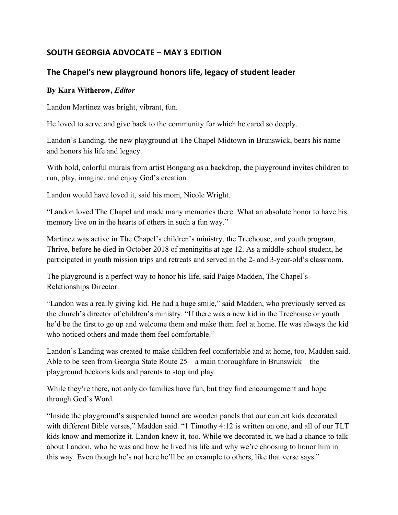# **SOUTH GEORGIA ADVOCATE – MAY 3 EDITION**

# **The Chapel's new playground honors life, legacy of student leader**

#### **By Kara Witherow,** *Editor*

Landon Martinez was bright, vibrant, fun.

He loved to serve and give back to the community for which he cared so deeply.

Landon's Landing, the new playground at The Chapel Midtown in Brunswick, bears his name and honors his life and legacy.

With bold, colorful murals from artist Bongang as a backdrop, the playground invites children to run, play, imagine, and enjoy God's creation.

Landon would have loved it, said his mom, Nicole Wright.

"Landon loved The Chapel and made many memories there. What an absolute honor to have his memory live on in the hearts of others in such a fun way."

Martinez was active in The Chapel's children's ministry, the Treehouse, and youth program, Thrive, before he died in October 2018 of meningitis at age 12. As a middle-school student, he participated in youth mission trips and retreats and served in the 2- and 3-year-old's classroom.

The playground is a perfect way to honor his life, said Paige Madden, The Chapel's Relationships Director.

"Landon was a really giving kid. He had a huge smile," said Madden, who previously served as the church's director of children's ministry. "If there was a new kid in the Treehouse or youth he'd be the first to go up and welcome them and make them feel at home. He was always the kid who noticed others and made them feel comfortable."

Landon's Landing was created to make children feel comfortable and at home, too, Madden said. Able to be seen from Georgia State Route 25 – a main thoroughfare in Brunswick – the playground beckons kids and parents to stop and play.

While they're there, not only do families have fun, but they find encouragement and hope through God's Word.

"Inside the playground's suspended tunnel are wooden panels that our current kids decorated with different Bible verses," Madden said. "1 Timothy 4:12 is written on one, and all of our TLT kids know and memorize it. Landon knew it, too. While we decorated it, we had a chance to talk about Landon, who he was and how he lived his life and why we're choosing to honor him in this way. Even though he's not here he'll be an example to others, like that verse says."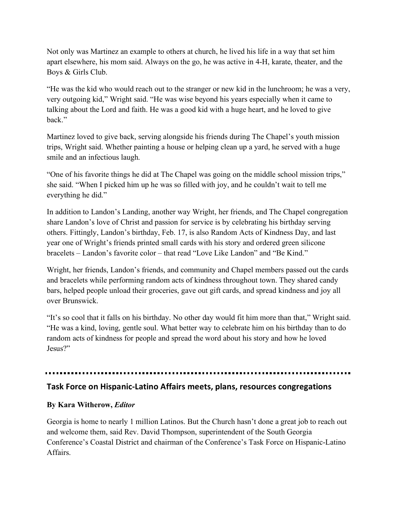Not only was Martinez an example to others at church, he lived his life in a way that set him apart elsewhere, his mom said. Always on the go, he was active in 4-H, karate, theater, and the Boys & Girls Club.

"He was the kid who would reach out to the stranger or new kid in the lunchroom; he was a very, very outgoing kid," Wright said. "He was wise beyond his years especially when it came to talking about the Lord and faith. He was a good kid with a huge heart, and he loved to give back."

Martinez loved to give back, serving alongside his friends during The Chapel's youth mission trips, Wright said. Whether painting a house or helping clean up a yard, he served with a huge smile and an infectious laugh.

"One of his favorite things he did at The Chapel was going on the middle school mission trips," she said. "When I picked him up he was so filled with joy, and he couldn't wait to tell me everything he did."

In addition to Landon's Landing, another way Wright, her friends, and The Chapel congregation share Landon's love of Christ and passion for service is by celebrating his birthday serving others. Fittingly, Landon's birthday, Feb. 17, is also Random Acts of Kindness Day, and last year one of Wright's friends printed small cards with his story and ordered green silicone bracelets – Landon's favorite color – that read "Love Like Landon" and "Be Kind."

Wright, her friends, Landon's friends, and community and Chapel members passed out the cards and bracelets while performing random acts of kindness throughout town. They shared candy bars, helped people unload their groceries, gave out gift cards, and spread kindness and joy all over Brunswick.

"It's so cool that it falls on his birthday. No other day would fit him more than that," Wright said. "He was a kind, loving, gentle soul. What better way to celebrate him on his birthday than to do random acts of kindness for people and spread the word about his story and how he loved Jesus?"

## **Task Force on Hispanic-Latino Affairs meets, plans, resources congregations**

#### **By Kara Witherow,** *Editor*

Georgia is home to nearly 1 million Latinos. But the Church hasn't done a great job to reach out and welcome them, said Rev. David Thompson, superintendent of the South Georgia Conference's Coastal District and chairman of the Conference's Task Force on Hispanic-Latino Affairs.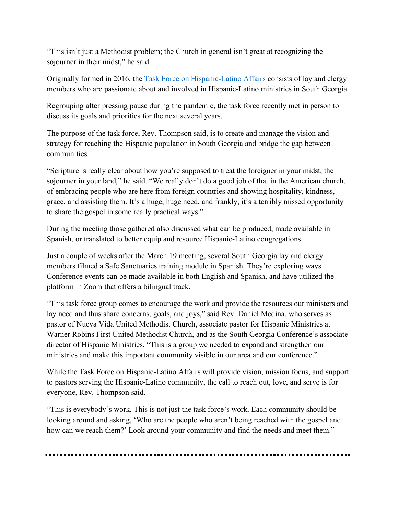"This isn't just a Methodist problem; the Church in general isn't great at recognizing the sojourner in their midst," he said.

Originally formed in 2016, the Task Force on Hispanic-Latino Affairs consists of lay and clergy members who are passionate about and involved in Hispanic-Latino ministries in South Georgia.

Regrouping after pressing pause during the pandemic, the task force recently met in person to discuss its goals and priorities for the next several years.

The purpose of the task force, Rev. Thompson said, is to create and manage the vision and strategy for reaching the Hispanic population in South Georgia and bridge the gap between communities.

"Scripture is really clear about how you're supposed to treat the foreigner in your midst, the sojourner in your land," he said. "We really don't do a good job of that in the American church, of embracing people who are here from foreign countries and showing hospitality, kindness, grace, and assisting them. It's a huge, huge need, and frankly, it's a terribly missed opportunity to share the gospel in some really practical ways."

During the meeting those gathered also discussed what can be produced, made available in Spanish, or translated to better equip and resource Hispanic-Latino congregations.

Just a couple of weeks after the March 19 meeting, several South Georgia lay and clergy members filmed a Safe Sanctuaries training module in Spanish. They're exploring ways Conference events can be made available in both English and Spanish, and have utilized the platform in Zoom that offers a bilingual track.

"This task force group comes to encourage the work and provide the resources our ministers and lay need and thus share concerns, goals, and joys," said Rev. Daniel Medina, who serves as pastor of Nueva Vida United Methodist Church, associate pastor for Hispanic Ministries at Warner Robins First United Methodist Church, and as the South Georgia Conference's associate director of Hispanic Ministries. "This is a group we needed to expand and strengthen our ministries and make this important community visible in our area and our conference."

While the Task Force on Hispanic-Latino Affairs will provide vision, mission focus, and support to pastors serving the Hispanic-Latino community, the call to reach out, love, and serve is for everyone, Rev. Thompson said.

"This is everybody's work. This is not just the task force's work. Each community should be looking around and asking, 'Who are the people who aren't being reached with the gospel and how can we reach them?' Look around your community and find the needs and meet them."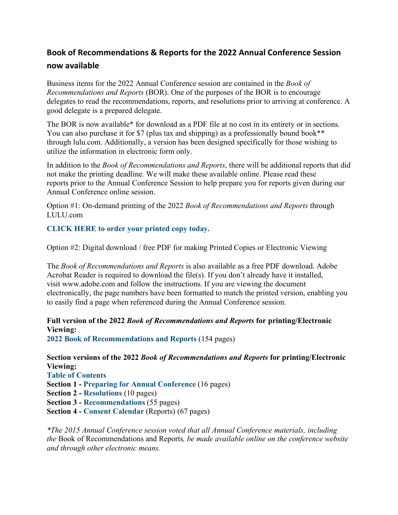# **Book of Recommendations & Reports for the 2022 Annual Conference Session now available**

Business items for the 2022 Annual Conference session are contained in the *Book of Recommendations and Reports* (BOR). One of the purposes of the BOR is to encourage delegates to read the recommendations, reports, and resolutions prior to arriving at conference. A good delegate is a prepared delegate.

The BOR is now available\* for download as a PDF file at no cost in its entirety or in sections. You can also purchase it for \$7 (plus tax and shipping) as a professionally bound book<sup>\*\*</sup> through lulu.com. Additionally, a version has been designed specifically for those wishing to utilize the information in electronic form only.

In addition to the *Book of Recommendations and Reports*, there will be additional reports that did not make the printing deadline. We will make these available online. Please read these reports prior to the Annual Conference Session to help prepare you for reports given during our Annual Conference online session.

Option #1: On-demand printing of the 2022 *Book of Recommendations and Reports* through LULU.com

**CLICK HERE to order your printed copy today.**

Option #2: Digital download / free PDF for making Printed Copies or Electronic Viewing

The *Book of Recommendations and Reports* is also available as a free PDF download. Adobe Acrobat Reader is required to download the file(s). If you don't already have it installed, visit www.adobe.com and follow the instructions. If you are viewing the document electronically, the page numbers have been formatted to match the printed version, enabling you to easily find a page when referenced during the Annual Conference session.

**Full version of the 2022** *Book of Recommendations and Reports* **for printing/Electronic Viewing:**

**2022 Book of Recommendations and Reports** (154 pages)

**Section versions of the 2022** *Book of Recommendations and Reports* **for printing/Electronic Viewing:**

**Table of Contents**

**Section 1 - Preparing for Annual Conference** (16 pages)

**Section 2 - Resolutions** (10 pages)

**Section 3 - Recommendations** (55 pages)

**Section 4 - Consent Calendar** (Reports) (67 pages)

*\*The 2015 Annual Conference session voted that all Annual Conference materials, including the* Book of Recommendations and Reports*, be made available online on the conference website and through other electronic means.*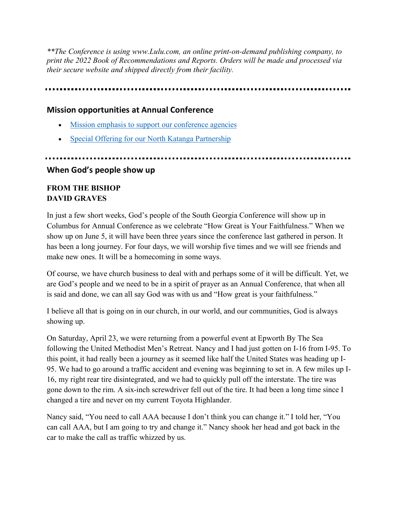*\*\*The Conference is using www.Lulu.com, an online print-on-demand publishing company, to print the 2022 Book of Recommendations and Reports. Orders will be made and processed via their secure website and shipped directly from their facility.*

# **Mission opportunities at Annual Conference**

- Mission emphasis to support our conference agencies
- Special Offering for our North Katanga Partnership

# 

# **When God's people show up**

# **FROM THE BISHOP DAVID GRAVES**

In just a few short weeks, God's people of the South Georgia Conference will show up in Columbus for Annual Conference as we celebrate "How Great is Your Faithfulness." When we show up on June 5, it will have been three years since the conference last gathered in person. It has been a long journey. For four days, we will worship five times and we will see friends and make new ones. It will be a homecoming in some ways.

Of course, we have church business to deal with and perhaps some of it will be difficult. Yet, we are God's people and we need to be in a spirit of prayer as an Annual Conference, that when all is said and done, we can all say God was with us and "How great is your faithfulness."

I believe all that is going on in our church, in our world, and our communities, God is always showing up.

On Saturday, April 23, we were returning from a powerful event at Epworth By The Sea following the United Methodist Men's Retreat. Nancy and I had just gotten on I-16 from I-95. To this point, it had really been a journey as it seemed like half the United States was heading up I-95. We had to go around a traffic accident and evening was beginning to set in. A few miles up I-16, my right rear tire disintegrated, and we had to quickly pull off the interstate. The tire was gone down to the rim. A six-inch screwdriver fell out of the tire. It had been a long time since I changed a tire and never on my current Toyota Highlander.

Nancy said, "You need to call AAA because I don't think you can change it." I told her, "You can call AAA, but I am going to try and change it." Nancy shook her head and got back in the car to make the call as traffic whizzed by us.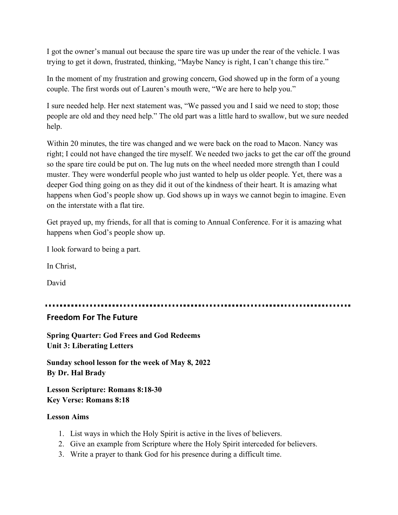I got the owner's manual out because the spare tire was up under the rear of the vehicle. I was trying to get it down, frustrated, thinking, "Maybe Nancy is right, I can't change this tire."

In the moment of my frustration and growing concern, God showed up in the form of a young couple. The first words out of Lauren's mouth were, "We are here to help you."

I sure needed help. Her next statement was, "We passed you and I said we need to stop; those people are old and they need help." The old part was a little hard to swallow, but we sure needed help.

Within 20 minutes, the tire was changed and we were back on the road to Macon. Nancy was right; I could not have changed the tire myself. We needed two jacks to get the car off the ground so the spare tire could be put on. The lug nuts on the wheel needed more strength than I could muster. They were wonderful people who just wanted to help us older people. Yet, there was a deeper God thing going on as they did it out of the kindness of their heart. It is amazing what happens when God's people show up. God shows up in ways we cannot begin to imagine. Even on the interstate with a flat tire.

Get prayed up, my friends, for all that is coming to Annual Conference. For it is amazing what happens when God's people show up.

I look forward to being a part.

In Christ,

David

----------------------------

#### **Freedom For The Future**

**Spring Quarter: God Frees and God Redeems Unit 3: Liberating Letters**

**Sunday school lesson for the week of May 8, 2022 By Dr. Hal Brady**

**Lesson Scripture: Romans 8:18-30 Key Verse: Romans 8:18**

#### **Lesson Aims**

- 1. List ways in which the Holy Spirit is active in the lives of believers.
- 2. Give an example from Scripture where the Holy Spirit interceded for believers.
- 3. Write a prayer to thank God for his presence during a difficult time.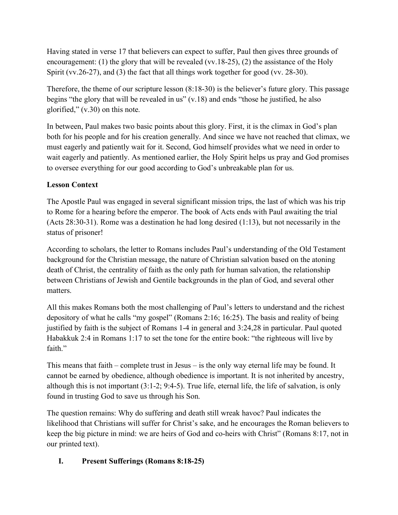Having stated in verse 17 that believers can expect to suffer, Paul then gives three grounds of encouragement: (1) the glory that will be revealed (vv. 18-25), (2) the assistance of the Holy Spirit (vv.26-27), and (3) the fact that all things work together for good (vv. 28-30).

Therefore, the theme of our scripture lesson (8:18-30) is the believer's future glory. This passage begins "the glory that will be revealed in us"  $(v.18)$  and ends "those he justified, he also glorified," (v.30) on this note.

In between, Paul makes two basic points about this glory. First, it is the climax in God's plan both for his people and for his creation generally. And since we have not reached that climax, we must eagerly and patiently wait for it. Second, God himself provides what we need in order to wait eagerly and patiently. As mentioned earlier, the Holy Spirit helps us pray and God promises to oversee everything for our good according to God's unbreakable plan for us.

# **Lesson Context**

The Apostle Paul was engaged in several significant mission trips, the last of which was his trip to Rome for a hearing before the emperor. The book of Acts ends with Paul awaiting the trial (Acts 28:30-31). Rome was a destination he had long desired (1:13), but not necessarily in the status of prisoner!

According to scholars, the letter to Romans includes Paul's understanding of the Old Testament background for the Christian message, the nature of Christian salvation based on the atoning death of Christ, the centrality of faith as the only path for human salvation, the relationship between Christians of Jewish and Gentile backgrounds in the plan of God, and several other matters.

All this makes Romans both the most challenging of Paul's letters to understand and the richest depository of what he calls "my gospel" (Romans 2:16; 16:25). The basis and reality of being justified by faith is the subject of Romans 1-4 in general and 3:24,28 in particular. Paul quoted Habakkuk 2:4 in Romans 1:17 to set the tone for the entire book: "the righteous will live by faith"

This means that faith – complete trust in Jesus – is the only way eternal life may be found. It cannot be earned by obedience, although obedience is important. It is not inherited by ancestry, although this is not important (3:1-2; 9:4-5). True life, eternal life, the life of salvation, is only found in trusting God to save us through his Son.

The question remains: Why do suffering and death still wreak havoc? Paul indicates the likelihood that Christians will suffer for Christ's sake, and he encourages the Roman believers to keep the big picture in mind: we are heirs of God and co-heirs with Christ" (Romans 8:17, not in our printed text).

# **I. Present Sufferings (Romans 8:18-25)**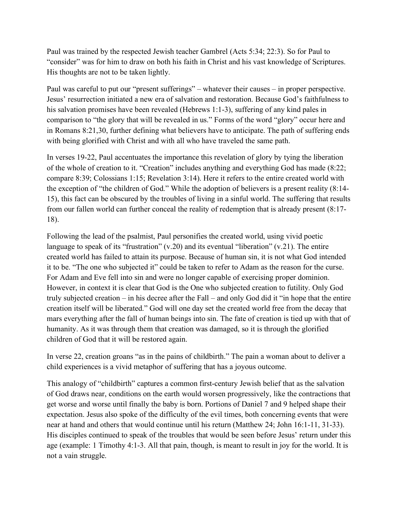Paul was trained by the respected Jewish teacher Gambrel (Acts 5:34; 22:3). So for Paul to "consider" was for him to draw on both his faith in Christ and his vast knowledge of Scriptures. His thoughts are not to be taken lightly.

Paul was careful to put our "present sufferings" – whatever their causes – in proper perspective. Jesus' resurrection initiated a new era of salvation and restoration. Because God's faithfulness to his salvation promises have been revealed (Hebrews 1:1-3), suffering of any kind pales in comparison to "the glory that will be revealed in us." Forms of the word "glory" occur here and in Romans 8:21,30, further defining what believers have to anticipate. The path of suffering ends with being glorified with Christ and with all who have traveled the same path.

In verses 19-22, Paul accentuates the importance this revelation of glory by tying the liberation of the whole of creation to it. "Creation" includes anything and everything God has made (8:22; compare 8:39; Colossians 1:15; Revelation 3:14). Here it refers to the entire created world with the exception of "the children of God." While the adoption of believers is a present reality (8:14- 15), this fact can be obscured by the troubles of living in a sinful world. The suffering that results from our fallen world can further conceal the reality of redemption that is already present (8:17- 18).

Following the lead of the psalmist, Paul personifies the created world, using vivid poetic language to speak of its "frustration" (v.20) and its eventual "liberation" (v.21). The entire created world has failed to attain its purpose. Because of human sin, it is not what God intended it to be. "The one who subjected it" could be taken to refer to Adam as the reason for the curse. For Adam and Eve fell into sin and were no longer capable of exercising proper dominion. However, in context it is clear that God is the One who subjected creation to futility. Only God truly subjected creation – in his decree after the Fall – and only God did it "in hope that the entire creation itself will be liberated." God will one day set the created world free from the decay that mars everything after the fall of human beings into sin. The fate of creation is tied up with that of humanity. As it was through them that creation was damaged, so it is through the glorified children of God that it will be restored again.

In verse 22, creation groans "as in the pains of childbirth." The pain a woman about to deliver a child experiences is a vivid metaphor of suffering that has a joyous outcome.

This analogy of "childbirth" captures a common first-century Jewish belief that as the salvation of God draws near, conditions on the earth would worsen progressively, like the contractions that get worse and worse until finally the baby is born. Portions of Daniel 7 and 9 helped shape their expectation. Jesus also spoke of the difficulty of the evil times, both concerning events that were near at hand and others that would continue until his return (Matthew 24; John 16:1-11, 31-33). His disciples continued to speak of the troubles that would be seen before Jesus' return under this age (example: 1 Timothy 4:1-3. All that pain, though, is meant to result in joy for the world. It is not a vain struggle.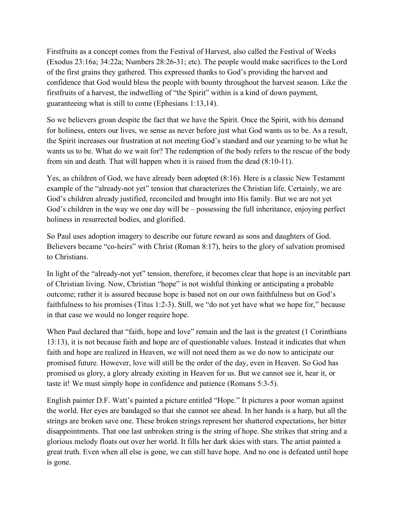Firstfruits as a concept comes from the Festival of Harvest, also called the Festival of Weeks (Exodus 23:16a; 34:22a; Numbers 28:26-31; etc). The people would make sacrifices to the Lord of the first grains they gathered. This expressed thanks to God's providing the harvest and confidence that God would bless the people with bounty throughout the harvest season. Like the firstfruits of a harvest, the indwelling of "the Spirit" within is a kind of down payment, guaranteeing what is still to come (Ephesians 1:13,14).

So we believers groan despite the fact that we have the Spirit. Once the Spirit, with his demand for holiness, enters our lives, we sense as never before just what God wants us to be. As a result, the Spirit increases our frustration at not meeting God's standard and our yearning to be what he wants us to be. What do we wait for? The redemption of the body refers to the rescue of the body from sin and death. That will happen when it is raised from the dead (8:10-11).

Yes, as children of God, we have already been adopted (8:16). Here is a classic New Testament example of the "already-not yet" tension that characterizes the Christian life. Certainly, we are God's children already justified, reconciled and brought into His family. But we are not yet God's children in the way we one day will be – possessing the full inheritance, enjoying perfect holiness in resurrected bodies, and glorified.

So Paul uses adoption imagery to describe our future reward as sons and daughters of God. Believers became "co-heirs" with Christ (Roman 8:17), heirs to the glory of salvation promised to Christians.

In light of the "already-not yet" tension, therefore, it becomes clear that hope is an inevitable part of Christian living. Now, Christian "hope" is not wishful thinking or anticipating a probable outcome; rather it is assured because hope is based not on our own faithfulness but on God's faithfulness to his promises (Titus 1:2-3). Still, we "do not yet have what we hope for," because in that case we would no longer require hope.

When Paul declared that "faith, hope and love" remain and the last is the greatest (1 Corinthians 13:13), it is not because faith and hope are of questionable values. Instead it indicates that when faith and hope are realized in Heaven, we will not need them as we do now to anticipate our promised future. However, love will still be the order of the day, even in Heaven. So God has promised us glory, a glory already existing in Heaven for us. But we cannot see it, hear it, or taste it! We must simply hope in confidence and patience (Romans 5:3-5).

English painter D.F. Watt's painted a picture entitled "Hope." It pictures a poor woman against the world. Her eyes are bandaged so that she cannot see ahead. In her hands is a harp, but all the strings are broken save one. These broken strings represent her shattered expectations, her bitter disappointments. That one last unbroken string is the string of hope. She strikes that string and a glorious melody floats out over her world. It fills her dark skies with stars. The artist painted a great truth. Even when all else is gone, we can still have hope. And no one is defeated until hope is gone.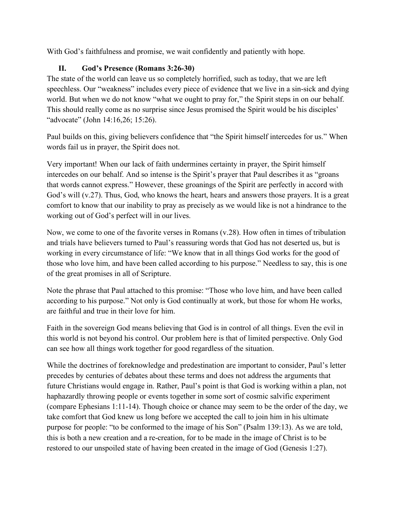With God's faithfulness and promise, we wait confidently and patiently with hope.

## **II. God's Presence (Romans 3:26-30)**

The state of the world can leave us so completely horrified, such as today, that we are left speechless. Our "weakness" includes every piece of evidence that we live in a sin-sick and dying world. But when we do not know "what we ought to pray for," the Spirit steps in on our behalf. This should really come as no surprise since Jesus promised the Spirit would be his disciples' "advocate" (John 14:16,26; 15:26).

Paul builds on this, giving believers confidence that "the Spirit himself intercedes for us." When words fail us in prayer, the Spirit does not.

Very important! When our lack of faith undermines certainty in prayer, the Spirit himself intercedes on our behalf. And so intense is the Spirit's prayer that Paul describes it as "groans that words cannot express." However, these groanings of the Spirit are perfectly in accord with God's will (v.27). Thus, God, who knows the heart, hears and answers those prayers. It is a great comfort to know that our inability to pray as precisely as we would like is not a hindrance to the working out of God's perfect will in our lives.

Now, we come to one of the favorite verses in Romans (v.28). How often in times of tribulation and trials have believers turned to Paul's reassuring words that God has not deserted us, but is working in every circumstance of life: "We know that in all things God works for the good of those who love him, and have been called according to his purpose." Needless to say, this is one of the great promises in all of Scripture.

Note the phrase that Paul attached to this promise: "Those who love him, and have been called according to his purpose." Not only is God continually at work, but those for whom He works, are faithful and true in their love for him.

Faith in the sovereign God means believing that God is in control of all things. Even the evil in this world is not beyond his control. Our problem here is that of limited perspective. Only God can see how all things work together for good regardless of the situation.

While the doctrines of foreknowledge and predestination are important to consider, Paul's letter precedes by centuries of debates about these terms and does not address the arguments that future Christians would engage in. Rather, Paul's point is that God is working within a plan, not haphazardly throwing people or events together in some sort of cosmic salvific experiment (compare Ephesians 1:11-14). Though choice or chance may seem to be the order of the day, we take comfort that God knew us long before we accepted the call to join him in his ultimate purpose for people: "to be conformed to the image of his Son" (Psalm 139:13). As we are told, this is both a new creation and a re-creation, for to be made in the image of Christ is to be restored to our unspoiled state of having been created in the image of God (Genesis 1:27).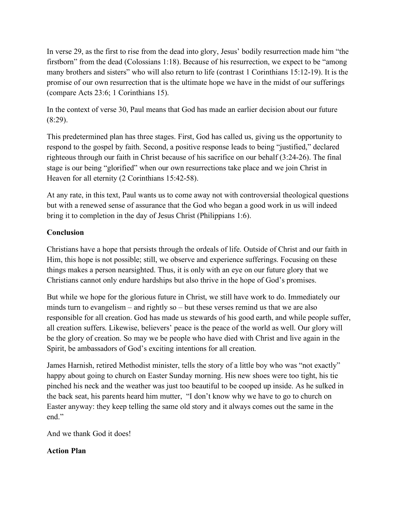In verse 29, as the first to rise from the dead into glory, Jesus' bodily resurrection made him "the firstborn" from the dead (Colossians 1:18). Because of his resurrection, we expect to be "among many brothers and sisters" who will also return to life (contrast 1 Corinthians 15:12-19). It is the promise of our own resurrection that is the ultimate hope we have in the midst of our sufferings (compare Acts 23:6; 1 Corinthians 15).

In the context of verse 30, Paul means that God has made an earlier decision about our future  $(8:29)$ .

This predetermined plan has three stages. First, God has called us, giving us the opportunity to respond to the gospel by faith. Second, a positive response leads to being "justified," declared righteous through our faith in Christ because of his sacrifice on our behalf (3:24-26). The final stage is our being "glorified" when our own resurrections take place and we join Christ in Heaven for all eternity (2 Corinthians 15:42-58).

At any rate, in this text, Paul wants us to come away not with controversial theological questions but with a renewed sense of assurance that the God who began a good work in us will indeed bring it to completion in the day of Jesus Christ (Philippians 1:6).

## **Conclusion**

Christians have a hope that persists through the ordeals of life. Outside of Christ and our faith in Him, this hope is not possible; still, we observe and experience sufferings. Focusing on these things makes a person nearsighted. Thus, it is only with an eye on our future glory that we Christians cannot only endure hardships but also thrive in the hope of God's promises.

But while we hope for the glorious future in Christ, we still have work to do. Immediately our minds turn to evangelism – and rightly so – but these verses remind us that we are also responsible for all creation. God has made us stewards of his good earth, and while people suffer, all creation suffers. Likewise, believers' peace is the peace of the world as well. Our glory will be the glory of creation. So may we be people who have died with Christ and live again in the Spirit, be ambassadors of God's exciting intentions for all creation.

James Harnish, retired Methodist minister, tells the story of a little boy who was "not exactly" happy about going to church on Easter Sunday morning. His new shoes were too tight, his tie pinched his neck and the weather was just too beautiful to be cooped up inside. As he sulked in the back seat, his parents heard him mutter, "I don't know why we have to go to church on Easter anyway: they keep telling the same old story and it always comes out the same in the end"

And we thank God it does!

## **Action Plan**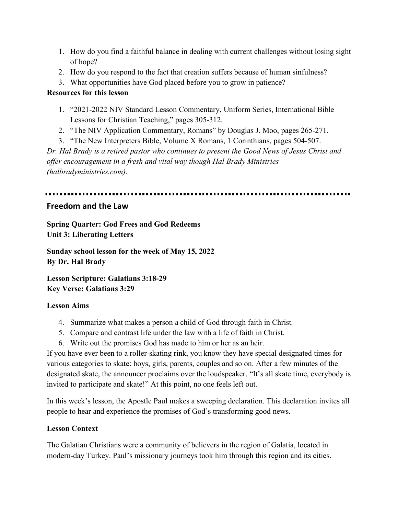- 1. How do you find a faithful balance in dealing with current challenges without losing sight of hope?
- 2. How do you respond to the fact that creation suffers because of human sinfulness?
- 3. What opportunities have God placed before you to grow in patience?

# **Resources for this lesson**

- 1. "2021-2022 NIV Standard Lesson Commentary, Uniform Series, International Bible Lessons for Christian Teaching," pages 305-312.
- 2. "The NIV Application Commentary, Romans" by Douglas J. Moo, pages 265-271.
- 3. "The New Interpreters Bible, Volume X Romans, 1 Corinthians, pages 504-507.

*Dr. Hal Brady is a retired pastor who continues to present the Good News of Jesus Christ and offer encouragement in a fresh and vital way though Hal Brady Ministries (halbradyministries.com).*

# **Freedom and the Law**

**Spring Quarter: God Frees and God Redeems Unit 3: Liberating Letters**

**Sunday school lesson for the week of May 15, 2022 By Dr. Hal Brady**

**Lesson Scripture: Galatians 3:18-29 Key Verse: Galatians 3:29**

# **Lesson Aims**

- 4. Summarize what makes a person a child of God through faith in Christ.
- 5. Compare and contrast life under the law with a life of faith in Christ.
- 6. Write out the promises God has made to him or her as an heir.

If you have ever been to a roller-skating rink, you know they have special designated times for various categories to skate: boys, girls, parents, couples and so on. After a few minutes of the designated skate, the announcer proclaims over the loudspeaker, "It's all skate time, everybody is invited to participate and skate!" At this point, no one feels left out.

In this week's lesson, the Apostle Paul makes a sweeping declaration. This declaration invites all people to hear and experience the promises of God's transforming good news.

# **Lesson Context**

The Galatian Christians were a community of believers in the region of Galatia, located in modern-day Turkey. Paul's missionary journeys took him through this region and its cities.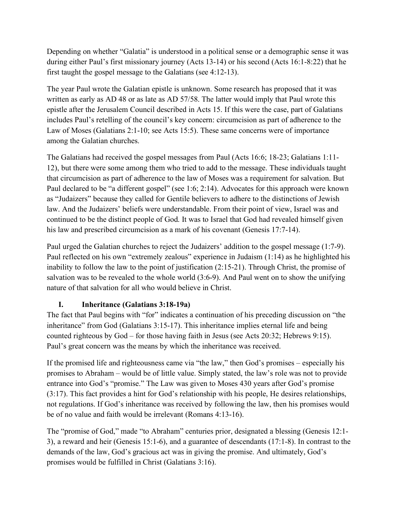Depending on whether "Galatia" is understood in a political sense or a demographic sense it was during either Paul's first missionary journey (Acts 13-14) or his second (Acts 16:1-8:22) that he first taught the gospel message to the Galatians (see 4:12-13).

The year Paul wrote the Galatian epistle is unknown. Some research has proposed that it was written as early as AD 48 or as late as AD 57/58. The latter would imply that Paul wrote this epistle after the Jerusalem Council described in Acts 15. If this were the case, part of Galatians includes Paul's retelling of the council's key concern: circumcision as part of adherence to the Law of Moses (Galatians 2:1-10; see Acts 15:5). These same concerns were of importance among the Galatian churches.

The Galatians had received the gospel messages from Paul (Acts 16:6; 18-23; Galatians 1:11- 12), but there were some among them who tried to add to the message. These individuals taught that circumcision as part of adherence to the law of Moses was a requirement for salvation. But Paul declared to be "a different gospel" (see 1:6; 2:14). Advocates for this approach were known as "Judaizers" because they called for Gentile believers to adhere to the distinctions of Jewish law. And the Judaizers' beliefs were understandable. From their point of view, Israel was and continued to be the distinct people of God. It was to Israel that God had revealed himself given his law and prescribed circumcision as a mark of his covenant (Genesis 17:7-14).

Paul urged the Galatian churches to reject the Judaizers' addition to the gospel message (1:7-9). Paul reflected on his own "extremely zealous" experience in Judaism (1:14) as he highlighted his inability to follow the law to the point of justification (2:15-21). Through Christ, the promise of salvation was to be revealed to the whole world (3:6-9). And Paul went on to show the unifying nature of that salvation for all who would believe in Christ.

## **I. Inheritance (Galatians 3:18-19a)**

The fact that Paul begins with "for" indicates a continuation of his preceding discussion on "the inheritance" from God (Galatians 3:15-17). This inheritance implies eternal life and being counted righteous by God – for those having faith in Jesus (see Acts 20:32; Hebrews 9:15). Paul's great concern was the means by which the inheritance was received.

If the promised life and righteousness came via "the law," then God's promises – especially his promises to Abraham – would be of little value. Simply stated, the law's role was not to provide entrance into God's "promise." The Law was given to Moses 430 years after God's promise (3:17). This fact provides a hint for God's relationship with his people, He desires relationships, not regulations. If God's inheritance was received by following the law, then his promises would be of no value and faith would be irrelevant (Romans 4:13-16).

The "promise of God," made "to Abraham" centuries prior, designated a blessing (Genesis 12:1- 3), a reward and heir (Genesis 15:1-6), and a guarantee of descendants (17:1-8). In contrast to the demands of the law, God's gracious act was in giving the promise. And ultimately, God's promises would be fulfilled in Christ (Galatians 3:16).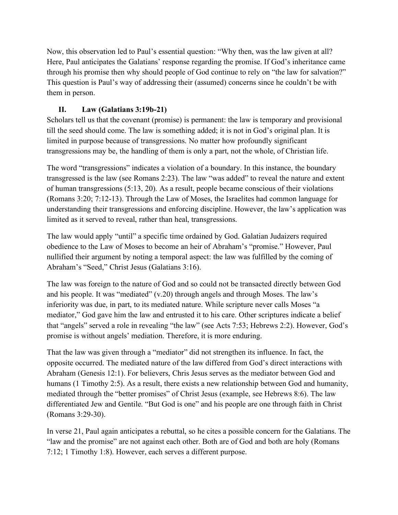Now, this observation led to Paul's essential question: "Why then, was the law given at all? Here, Paul anticipates the Galatians' response regarding the promise. If God's inheritance came through his promise then why should people of God continue to rely on "the law for salvation?" This question is Paul's way of addressing their (assumed) concerns since he couldn't be with them in person.

## **II. Law (Galatians 3:19b-21)**

Scholars tell us that the covenant (promise) is permanent: the law is temporary and provisional till the seed should come. The law is something added; it is not in God's original plan. It is limited in purpose because of transgressions. No matter how profoundly significant transgressions may be, the handling of them is only a part, not the whole, of Christian life.

The word "transgressions" indicates a violation of a boundary. In this instance, the boundary transgressed is the law (see Romans 2:23). The law "was added" to reveal the nature and extent of human transgressions (5:13, 20). As a result, people became conscious of their violations (Romans 3:20; 7:12-13). Through the Law of Moses, the Israelites had common language for understanding their transgressions and enforcing discipline. However, the law's application was limited as it served to reveal, rather than heal, transgressions.

The law would apply "until" a specific time ordained by God. Galatian Judaizers required obedience to the Law of Moses to become an heir of Abraham's "promise." However, Paul nullified their argument by noting a temporal aspect: the law was fulfilled by the coming of Abraham's "Seed," Christ Jesus (Galatians 3:16).

The law was foreign to the nature of God and so could not be transacted directly between God and his people. It was "mediated" (v.20) through angels and through Moses. The law's inferiority was due, in part, to its mediated nature. While scripture never calls Moses "a mediator," God gave him the law and entrusted it to his care. Other scriptures indicate a belief that "angels" served a role in revealing "the law" (see Acts 7:53; Hebrews 2:2). However, God's promise is without angels' mediation. Therefore, it is more enduring.

That the law was given through a "mediator" did not strengthen its influence. In fact, the opposite occurred. The mediated nature of the law differed from God's direct interactions with Abraham (Genesis 12:1). For believers, Chris Jesus serves as the mediator between God and humans (1 Timothy 2:5). As a result, there exists a new relationship between God and humanity, mediated through the "better promises" of Christ Jesus (example, see Hebrews 8:6). The law differentiated Jew and Gentile. "But God is one" and his people are one through faith in Christ (Romans 3:29-30).

In verse 21, Paul again anticipates a rebuttal, so he cites a possible concern for the Galatians. The "law and the promise" are not against each other. Both are of God and both are holy (Romans 7:12; 1 Timothy 1:8). However, each serves a different purpose.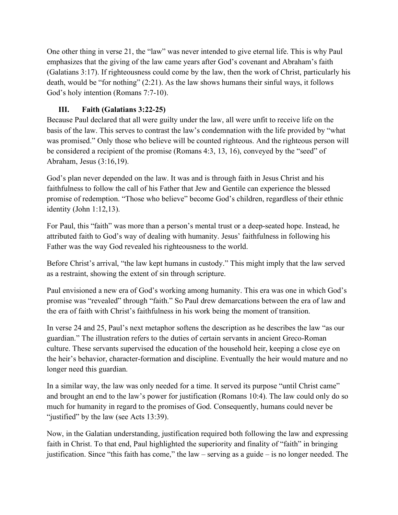One other thing in verse 21, the "law" was never intended to give eternal life. This is why Paul emphasizes that the giving of the law came years after God's covenant and Abraham's faith (Galatians 3:17). If righteousness could come by the law, then the work of Christ, particularly his death, would be "for nothing" (2:21). As the law shows humans their sinful ways, it follows God's holy intention (Romans 7:7-10).

# **III. Faith (Galatians 3:22-25)**

Because Paul declared that all were guilty under the law, all were unfit to receive life on the basis of the law. This serves to contrast the law's condemnation with the life provided by "what was promised." Only those who believe will be counted righteous. And the righteous person will be considered a recipient of the promise (Romans 4:3, 13, 16), conveyed by the "seed" of Abraham, Jesus (3:16,19).

God's plan never depended on the law. It was and is through faith in Jesus Christ and his faithfulness to follow the call of his Father that Jew and Gentile can experience the blessed promise of redemption. "Those who believe" become God's children, regardless of their ethnic identity (John 1:12,13).

For Paul, this "faith" was more than a person's mental trust or a deep-seated hope. Instead, he attributed faith to God's way of dealing with humanity. Jesus' faithfulness in following his Father was the way God revealed his righteousness to the world.

Before Christ's arrival, "the law kept humans in custody." This might imply that the law served as a restraint, showing the extent of sin through scripture.

Paul envisioned a new era of God's working among humanity. This era was one in which God's promise was "revealed" through "faith." So Paul drew demarcations between the era of law and the era of faith with Christ's faithfulness in his work being the moment of transition.

In verse 24 and 25, Paul's next metaphor softens the description as he describes the law "as our guardian." The illustration refers to the duties of certain servants in ancient Greco-Roman culture. These servants supervised the education of the household heir, keeping a close eye on the heir's behavior, character-formation and discipline. Eventually the heir would mature and no longer need this guardian.

In a similar way, the law was only needed for a time. It served its purpose "until Christ came" and brought an end to the law's power for justification (Romans 10:4). The law could only do so much for humanity in regard to the promises of God. Consequently, humans could never be "justified" by the law (see Acts 13:39).

Now, in the Galatian understanding, justification required both following the law and expressing faith in Christ. To that end, Paul highlighted the superiority and finality of "faith" in bringing justification. Since "this faith has come," the law – serving as a guide – is no longer needed. The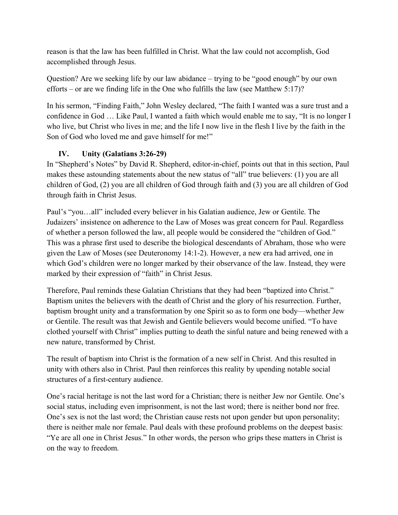reason is that the law has been fulfilled in Christ. What the law could not accomplish, God accomplished through Jesus.

Question? Are we seeking life by our law abidance – trying to be "good enough" by our own efforts – or are we finding life in the One who fulfills the law (see Matthew 5:17)?

In his sermon, "Finding Faith," John Wesley declared, "The faith I wanted was a sure trust and a confidence in God … Like Paul, I wanted a faith which would enable me to say, "It is no longer I who live, but Christ who lives in me; and the life I now live in the flesh I live by the faith in the Son of God who loved me and gave himself for me!"

# **IV. Unity (Galatians 3:26-29)**

In "Shepherd's Notes" by David R. Shepherd, editor-in-chief, points out that in this section, Paul makes these astounding statements about the new status of "all" true believers: (1) you are all children of God, (2) you are all children of God through faith and (3) you are all children of God through faith in Christ Jesus.

Paul's "you…all" included every believer in his Galatian audience, Jew or Gentile. The Judaizers' insistence on adherence to the Law of Moses was great concern for Paul. Regardless of whether a person followed the law, all people would be considered the "children of God." This was a phrase first used to describe the biological descendants of Abraham, those who were given the Law of Moses (see Deuteronomy 14:1-2). However, a new era had arrived, one in which God's children were no longer marked by their observance of the law. Instead, they were marked by their expression of "faith" in Christ Jesus.

Therefore, Paul reminds these Galatian Christians that they had been "baptized into Christ." Baptism unites the believers with the death of Christ and the glory of his resurrection. Further, baptism brought unity and a transformation by one Spirit so as to form one body—whether Jew or Gentile. The result was that Jewish and Gentile believers would become unified. "To have clothed yourself with Christ" implies putting to death the sinful nature and being renewed with a new nature, transformed by Christ.

The result of baptism into Christ is the formation of a new self in Christ. And this resulted in unity with others also in Christ. Paul then reinforces this reality by upending notable social structures of a first-century audience.

One's racial heritage is not the last word for a Christian; there is neither Jew nor Gentile. One's social status, including even imprisonment, is not the last word; there is neither bond nor free. One's sex is not the last word; the Christian cause rests not upon gender but upon personality; there is neither male nor female. Paul deals with these profound problems on the deepest basis: "Ye are all one in Christ Jesus." In other words, the person who grips these matters in Christ is on the way to freedom.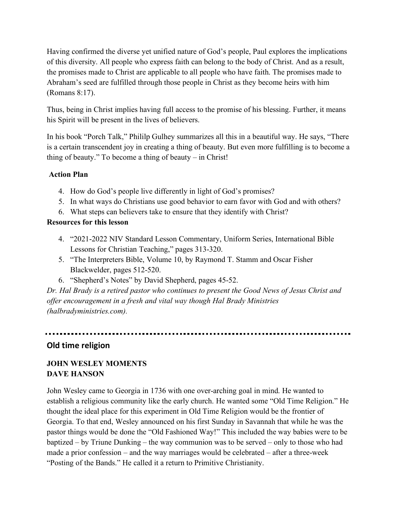Having confirmed the diverse yet unified nature of God's people, Paul explores the implications of this diversity. All people who express faith can belong to the body of Christ. And as a result, the promises made to Christ are applicable to all people who have faith. The promises made to Abraham's seed are fulfilled through those people in Christ as they become heirs with him (Romans 8:17).

Thus, being in Christ implies having full access to the promise of his blessing. Further, it means his Spirit will be present in the lives of believers.

In his book "Porch Talk," Phililp Gulhey summarizes all this in a beautiful way. He says, "There is a certain transcendent joy in creating a thing of beauty. But even more fulfilling is to become a thing of beauty." To become a thing of beauty – in Christ!

#### **Action Plan**

- 4. How do God's people live differently in light of God's promises?
- 5. In what ways do Christians use good behavior to earn favor with God and with others?
- 6. What steps can believers take to ensure that they identify with Christ?

#### **Resources for this lesson**

- 4. "2021-2022 NIV Standard Lesson Commentary, Uniform Series, International Bible Lessons for Christian Teaching," pages 313-320.
- 5. "The Interpreters Bible, Volume 10, by Raymond T. Stamm and Oscar Fisher Blackwelder, pages 512-520.
- 6. "Shepherd's Notes" by David Shepherd, pages 45-52.

*Dr. Hal Brady is a retired pastor who continues to present the Good News of Jesus Christ and offer encouragement in a fresh and vital way though Hal Brady Ministries (halbradyministries.com).*

## **Old time religion**

# **JOHN WESLEY MOMENTS DAVE HANSON**

John Wesley came to Georgia in 1736 with one over-arching goal in mind. He wanted to establish a religious community like the early church. He wanted some "Old Time Religion." He thought the ideal place for this experiment in Old Time Religion would be the frontier of Georgia. To that end, Wesley announced on his first Sunday in Savannah that while he was the pastor things would be done the "Old Fashioned Way!" This included the way babies were to be baptized – by Triune Dunking – the way communion was to be served – only to those who had made a prior confession – and the way marriages would be celebrated – after a three-week "Posting of the Bands." He called it a return to Primitive Christianity.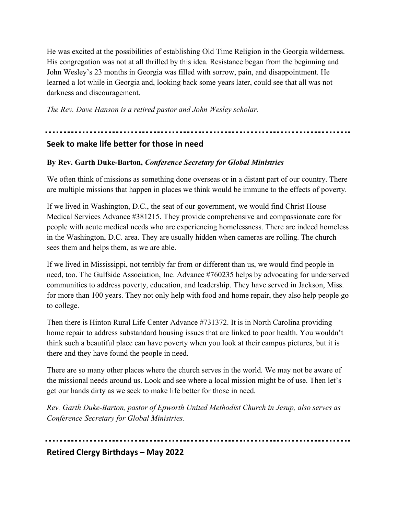He was excited at the possibilities of establishing Old Time Religion in the Georgia wilderness. His congregation was not at all thrilled by this idea. Resistance began from the beginning and John Wesley's 23 months in Georgia was filled with sorrow, pain, and disappointment. He learned a lot while in Georgia and, looking back some years later, could see that all was not darkness and discouragement.

*The Rev. Dave Hanson is a retired pastor and John Wesley scholar.*

# **Seek to make life better for those in need**

# **By Rev. Garth Duke-Barton,** *Conference Secretary for Global Ministries*

We often think of missions as something done overseas or in a distant part of our country. There are multiple missions that happen in places we think would be immune to the effects of poverty.

If we lived in Washington, D.C., the seat of our government, we would find Christ House Medical Services Advance #381215. They provide comprehensive and compassionate care for people with acute medical needs who are experiencing homelessness. There are indeed homeless in the Washington, D.C. area. They are usually hidden when cameras are rolling. The church sees them and helps them, as we are able.

If we lived in Mississippi, not terribly far from or different than us, we would find people in need, too. The Gulfside Association, Inc. Advance #760235 helps by advocating for underserved communities to address poverty, education, and leadership. They have served in Jackson, Miss. for more than 100 years. They not only help with food and home repair, they also help people go to college.

Then there is Hinton Rural Life Center Advance #731372. It is in North Carolina providing home repair to address substandard housing issues that are linked to poor health. You wouldn't think such a beautiful place can have poverty when you look at their campus pictures, but it is there and they have found the people in need.

There are so many other places where the church serves in the world. We may not be aware of the missional needs around us. Look and see where a local mission might be of use. Then let's get our hands dirty as we seek to make life better for those in need.

*Rev. Garth Duke-Barton, pastor of Epworth United Methodist Church in Jesup, also serves as Conference Secretary for Global Ministries.*

**Retired Clergy Birthdays – May 2022**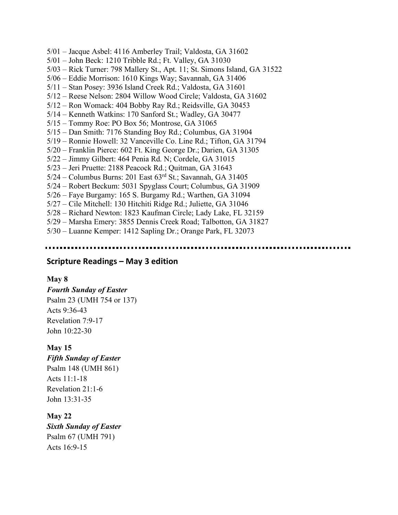- 5/01 Jacque Asbel: 4116 Amberley Trail; Valdosta, GA 31602
- 5/01 John Beck: 1210 Tribble Rd.; Ft. Valley, GA 31030
- 5/03 Rick Turner: 798 Mallery St., Apt. 11; St. Simons Island, GA 31522
- 5/06 Eddie Morrison: 1610 Kings Way; Savannah, GA 31406
- 5/11 Stan Posey: 3936 Island Creek Rd.; Valdosta, GA 31601
- 5/12 Reese Nelson: 2804 Willow Wood Circle; Valdosta, GA 31602
- 5/12 Ron Womack: 404 Bobby Ray Rd.; Reidsville, GA 30453
- 5/14 Kenneth Watkins: 170 Sanford St.; Wadley, GA 30477
- 5/15 Tommy Roe: PO Box 56; Montrose, GA 31065
- 5/15 Dan Smith: 7176 Standing Boy Rd.; Columbus, GA 31904
- 5/19 Ronnie Howell: 32 Vanceville Co. Line Rd.; Tifton, GA 31794
- 5/20 Franklin Pierce: 602 Ft. King George Dr.; Darien, GA 31305
- 5/22 Jimmy Gilbert: 464 Penia Rd. N; Cordele, GA 31015
- 5/23 Jeri Pruette: 2188 Peacock Rd.; Quitman, GA 31643
- $5/24$  Columbus Burns: 201 East  $63<sup>rd</sup>$  St.; Savannah, GA 31405
- 5/24 Robert Beckum: 5031 Spyglass Court; Columbus, GA 31909
- 5/26 Faye Burgamy: 165 S. Burgamy Rd.; Warthen, GA 31094
- 5/27 Cile Mitchell: 130 Hitchiti Ridge Rd.; Juliette, GA 31046
- 5/28 Richard Newton: 1823 Kaufman Circle; Lady Lake, FL 32159
- 5/29 Marsha Emery: 3855 Dennis Creek Road; Talbotton, GA 31827
- 5/30 Luanne Kemper: 1412 Sapling Dr.; Orange Park, FL 32073

#### **Scripture Readings – May 3 edition**

#### **May 8**

*Fourth Sunday of Easter* Psalm 23 (UMH 754 or 137) Acts 9:36-43 Revelation 7:9-17 John 10:22-30

#### **May 15**

*Fifth Sunday of Easter* Psalm 148 (UMH 861) Acts 11:1-18

Revelation 21:1-6 John 13:31-35

**May 22** *Sixth Sunday of Easter* Psalm 67 (UMH 791) Acts 16:9-15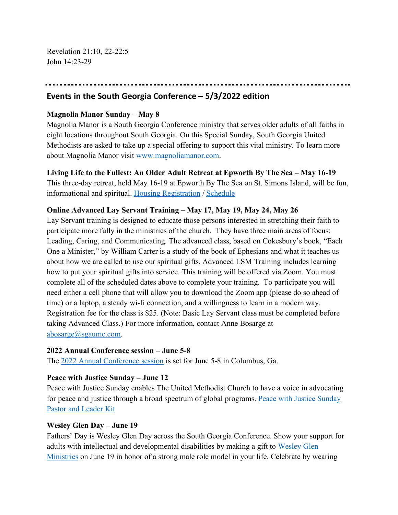Revelation 21:10, 22-22:5 John 14:23-29

#### **Events in the South Georgia Conference – 5/3/2022 edition**

#### **Magnolia Manor Sunday – May 8**

Magnolia Manor is a South Georgia Conference ministry that serves older adults of all faiths in eight locations throughout South Georgia. On this Special Sunday, South Georgia United Methodists are asked to take up a special offering to support this vital ministry. To learn more about Magnolia Manor visit www.magnoliamanor.com.

#### **Living Life to the Fullest: An Older Adult Retreat at Epworth By The Sea – May 16-19**

This three-day retreat, held May 16-19 at Epworth By The Sea on St. Simons Island, will be fun, informational and spiritual. Housing Registration / Schedule

#### **Online Advanced Lay Servant Training – May 17, May 19, May 24, May 26**

Lay Servant training is designed to educate those persons interested in stretching their faith to participate more fully in the ministries of the church. They have three main areas of focus: Leading, Caring, and Communicating. The advanced class, based on Cokesbury's book, "Each One a Minister," by William Carter is a study of the book of Ephesians and what it teaches us about how we are called to use our spiritual gifts. Advanced LSM Training includes learning how to put your spiritual gifts into service. This training will be offered via Zoom. You must complete all of the scheduled dates above to complete your training. To participate you will need either a cell phone that will allow you to download the Zoom app (please do so ahead of time) or a laptop, a steady wi-fi connection, and a willingness to learn in a modern way. Registration fee for the class is \$25. (Note: Basic Lay Servant class must be completed before taking Advanced Class.) For more information, contact Anne Bosarge at abosarge@sgaumc.com.

#### **2022 Annual Conference session – June 5-8**

The 2022 Annual Conference session is set for June 5-8 in Columbus, Ga.

#### **Peace with Justice Sunday – June 12**

Peace with Justice Sunday enables The United Methodist Church to have a voice in advocating for peace and justice through a broad spectrum of global programs. Peace with Justice Sunday Pastor and Leader Kit

#### **Wesley Glen Day – June 19**

Fathers' Day is Wesley Glen Day across the South Georgia Conference. Show your support for adults with intellectual and developmental disabilities by making a gift to Wesley Glen Ministries on June 19 in honor of a strong male role model in your life. Celebrate by wearing